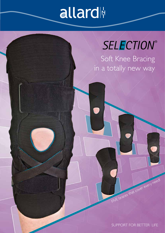## allard

## SELECTION®

Soft Knee Bracing in a totally new way

SUPPORT FOR BETTER LIFE

FIVE braces that cover every need!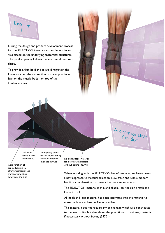

During the design and product development process for the SELECTION knee braces, continuous focus was placed on the underlying anatomical structures. The patella opening follows the anatomical teardrop shape.

To provide a firm hold and to avoid migration the lower strap on the calf section has been positioned high on the muscle body - on top of the Gastrocnemius.



Accommodative function

Soft inner fabric is kind to the skin.

Core function of centre fabric is to offer breathability and transport moisture away from the skin.

Semi-glossy outer finish allows clothing to flow smoothly over the surface.

No edging tape. Material can be cut with scissors without fraying (35701).

When working with the SELECTION line of products, we have chosen a new approach to material selection. New, fresh and with a modern feel it is a combination that meets the users requirements.

The SELECTION-material is thin and pliable, let's the skin breath and keeps it cool.

All hook and loop material has been integrated into the material to make the brace as low profile as possible.

This material does not require any edging tape which also contributes to the low profile, but also allows the practitioner to cut away material if neccessary without fraying (35701).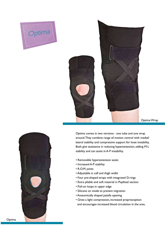



```
Optima Wrap
```


Optima comes in two versions - one tube and one wrap around. They combine range of motion control with medial/ lateral stability and compressive support for knee instability. Both give assistance in reducing hyperextension, adding M-L stability and can assist in A-P instability.

- Removable hyperextension assist
- Increased A-P stability
- R.O.M. joints
- Adjustable in calf and thigh width
- Four pre-shaped straps with integrated D-rings
- Extra pliable and soft material in Popliteal section
- Pull-on loops in upper edge
- Silicone on inside to prevent migration
- Anatomically shaped patella opening
- Gives a light compression, increased proprioception and encourages increased blood circulation in the area.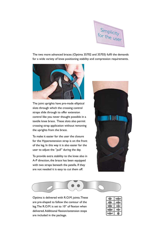

The two more advanced braces (Optima 35702 and 35703) fulfil the demands for a wide variety of knee positioning stability and compression requirements.



The joint uprights have pre-made elliptical slots through which the crossing control straps slide through to offer extension control like you never thought possible in a textile knee brace. These slots also permit crossing strap application without removing the uprights from the brace.

To make it easier for the user the closure for the Hyperextension strap is on the front of the leg. In this way it is also easier for the user to adjust the "pull" during the day.

To provide extra stability to the knee also in A-P direction, the brace has been equipped with two straps beneath the patella. If they are not needed it is easy to cut them off.





Optima is delivered with R.O.M. joints. These are pre-shaped to follow the contour of the leg. The R.O.M. is set to 10° of flexion when delivered. Additional flexion/extension stops are included in the package.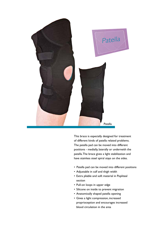![](_page_4_Picture_0.jpeg)

This brace is especially designed for treatment of different kinds of patella related problems. The patella pad can be moved into different positions - medially, laterally or underneith the patella. The brace gives a light stabilization and have stainless steel spiral stays on the sides.

- Patella pad can be moved into different positions
- Adjustable in calf and thigh width
- Extra pliable and soft material in Popliteal section
- Pull-on loops in upper edge
- Silicone on inside to prevent migration
- Anatomically shaped patella opening
- Gives a light compression, increased proprioception and encourages increased blood circulation in the area